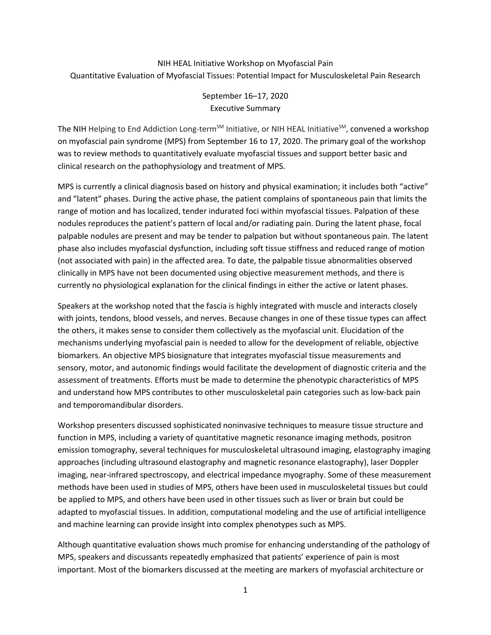## NIH HEAL Initiative Workshop on Myofascial Pain Quantitative Evaluation of Myofascial Tissues: Potential Impact for Musculoskeletal Pain Research

September 16–17, 2020 Executive Summary

The NIH Helping to End Addiction Long-term<sup>sM</sup> Initiative, or NIH HEAL Initiative<sup>sM</sup>, convened a workshop on myofascial pain syndrome (MPS) from September 16 to 17, 2020. The primary goal of the workshop was to review methods to quantitatively evaluate myofascial tissues and support better basic and clinical research on the pathophysiology and treatment of MPS.

 MPS is currently a clinical diagnosis based on history and physical examination; it includes both "active" and "latent" phases. During the active phase, the patient complains of spontaneous pain that limits the range of motion and has localized, tender indurated foci within myofascial tissues. Palpation of these nodules reproduces the patient's pattern of local and/or radiating pain. During the latent phase, focal palpable nodules are present and may be tender to palpation but without spontaneous pain. The latent (not associated with pain) in the affected area. To date, the palpable tissue abnormalities observed clinically in MPS have not been documented using objective measurement methods, and there is currently no physiological explanation for the clinical findings in either the active or latent phases. phase also includes myofascial dysfunction, including soft tissue stiffness and reduced range of motion

 with joints, tendons, blood vessels, and nerves. Because changes in one of these tissue types can affect the others, it makes sense to consider them collectively as the myofascial unit. Elucidation of the mechanisms underlying myofascial pain is needed to allow for the development of reliable, objective biomarkers. An objective MPS biosignature that integrates myofascial tissue measurements and assessment of treatments. Efforts must be made to determine the phenotypic characteristics of MPS and understand how MPS contributes to other musculoskeletal pain categories such as low-back pain Speakers at the workshop noted that the fascia is highly integrated with muscle and interacts closely sensory, motor, and autonomic findings would facilitate the development of diagnostic criteria and the and temporomandibular disorders.

 Workshop presenters discussed sophisticated noninvasive techniques to measure tissue structure and function in MPS, including a variety of quantitative magnetic resonance imaging methods, positron emission tomography, several techniques for musculoskeletal ultrasound imaging, elastography imaging imaging, near-infrared spectroscopy, and electrical impedance myography. Some of these measurement methods have been used in studies of MPS, others have been used in musculoskeletal tissues but could adapted to myofascial tissues. In addition, computational modeling and the use of artificial intelligence approaches (including ultrasound elastography and magnetic resonance elastography), laser Doppler be applied to MPS, and others have been used in other tissues such as liver or brain but could be and machine learning can provide insight into complex phenotypes such as MPS.

 Although quantitative evaluation shows much promise for enhancing understanding of the pathology of MPS, speakers and discussants repeatedly emphasized that patients' experience of pain is most important. Most of the biomarkers discussed at the meeting are markers of myofascial architecture or